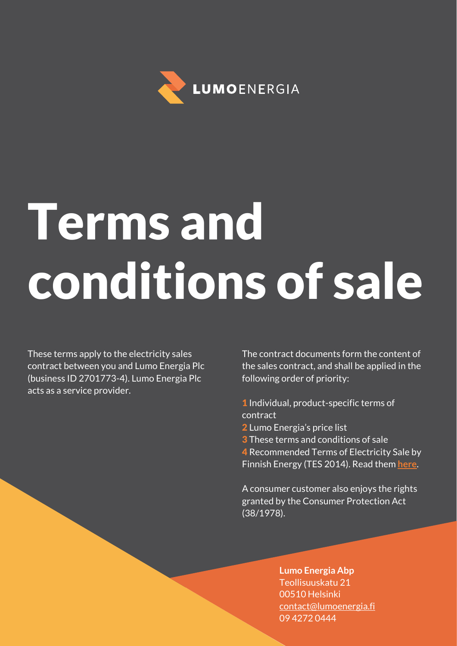

# Terms and conditions of sale

These terms apply to the electricity sales contract between you and Lumo Energia Plc (business ID 2701773-4). Lumo Energia Plc acts as a service provider.

The contract documents form the content of the sales contract, and shall be applied in the following order of priority:

- 1 Individual, product-specific terms of contract
- 2 Lumo Energia's price list
- **3** These terms and conditions of sale

4 Recommended Terms of Electricity Sale by Finnish Energy (TES 2014). Read them **[here](https://energia.fi/files/1066/Terms_of_Electricity_Sales_TESa2014_20160118.pdf)**.

A consumer customer also enjoys the rights granted by the Consumer Protection Act (38/1978).

### **Lumo Energia Abp** Teollisuuskatu 21 00510 Helsinki [contact@lumoenergia.fi](mailto:contact@lumoenergia.fi) 09 4272 0444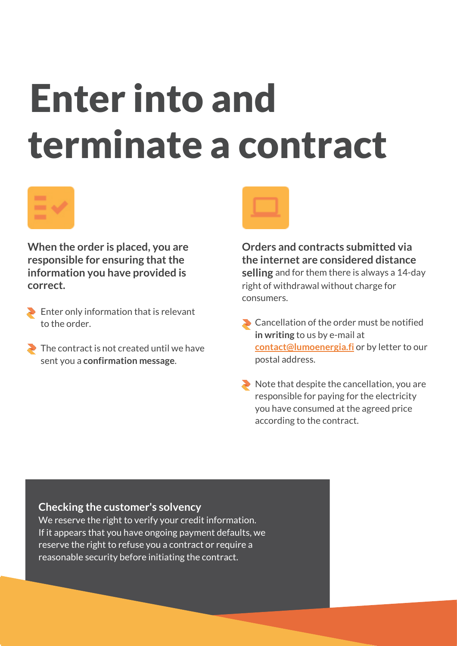## Enter into and terminate a contract



**When the order is placed, you are responsible for ensuring that the information you have provided is correct.**

- Enter only information that is relevant to the order.
- The contract is not created until we have sent you a **confirmation message**.



**Orders and contracts submitted via the internet are considered distance selling** and for them there is always a 14-day right of withdrawal without charge for consumers.

- Cancellation of the order must be notified **in writing** to us by e-mail at **[contact@lumoenergia.fi](mailto:contact@lumoenergia.fi)** or by letter to our postal address.
- $\blacktriangleright$  Note that despite the cancellation, you are responsible for paying for the electricity you have consumed at the agreed price according to the contract.

### **Checking the customer's solvency**

We reserve the right to verify your credit information. If it appears that you have ongoing payment defaults, we reserve the right to refuse you a contract or require a reasonable security before initiating the contract.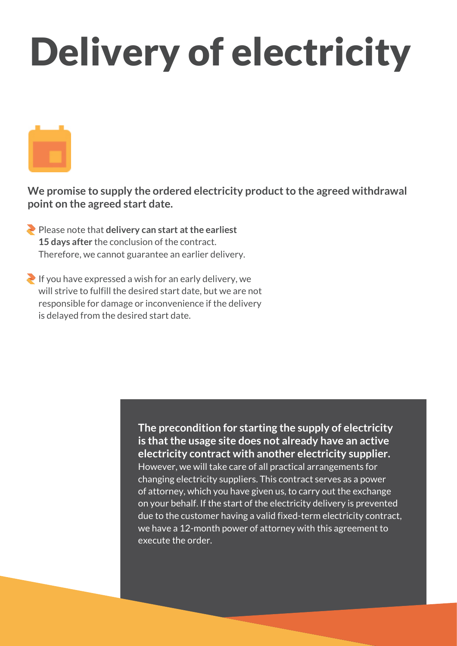## Delivery of electricity

**We promise to supply the ordered electricity product to the agreed withdrawal point on the agreed start date.**

- Please note that **delivery can start at the earliest 15 days after** the conclusion of the contract. Therefore, we cannot guarantee an earlier delivery.
- If you have expressed a wish for an early delivery, we will strive to fulfill the desired start date, but we are not responsible for damage or inconvenience if the delivery is delayed from the desired start date.

**The precondition for starting the supply of electricity is that the usage site does not already have an active electricity contract with another electricity supplier.** However, we will take care of all practical arrangements for changing electricity suppliers. This contract serves as a power of attorney, which you have given us, to carry out the exchange on your behalf. If the start of the electricity delivery is prevented due to the customer having a valid fixed-term electricity contract, we have a 12-month power of attorney with this agreement to execute the order.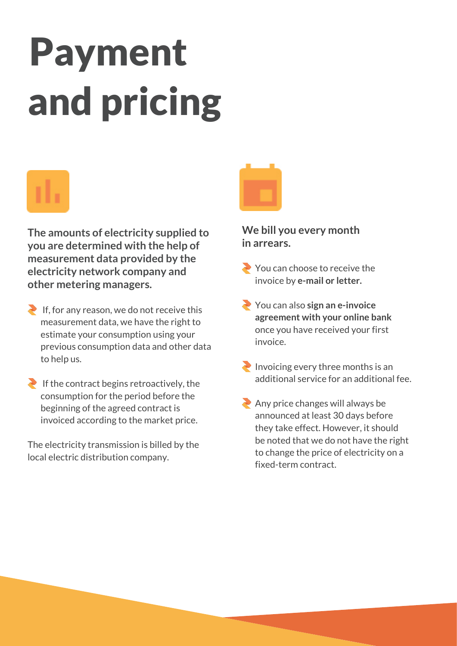## Payment and pricing

**The amounts of electricity supplied to you are determined with the help of measurement data provided by the electricity network company and other metering managers.**

- $\blacktriangleright$  If, for any reason, we do not receive this measurement data, we have the right to estimate your consumption using your previous consumption data and other data to help us.
- If the contract begins retroactively, the consumption for the period before the beginning of the agreed contract is invoiced according to the market price.

The electricity transmission is billed by the local electric distribution company.



### **We bill you every month in arrears.**

- You can choose to receive the invoice by **e-mail or letter.**
- You can also **sign an e-invoice agreement with your online bank**  once you have received your first invoice.
- Invoicing every three months is an additional service for an additional fee.
- $\triangle$  Any price changes will always be announced at least 30 days before they take effect. However, it should be noted that we do not have the right to change the price of electricity on a fixed-term contract.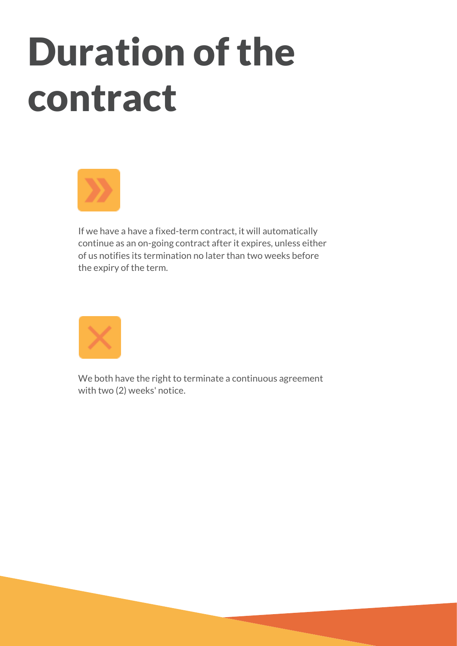## Duration of the contract



If we have a have a fixed-term contract, it will automatically continue as an on-going contract after it expires, unless either of us notifies its termination no later than two weeks before the expiry of the term.



We both have the right to terminate a continuous agreement with two (2) weeks' notice.